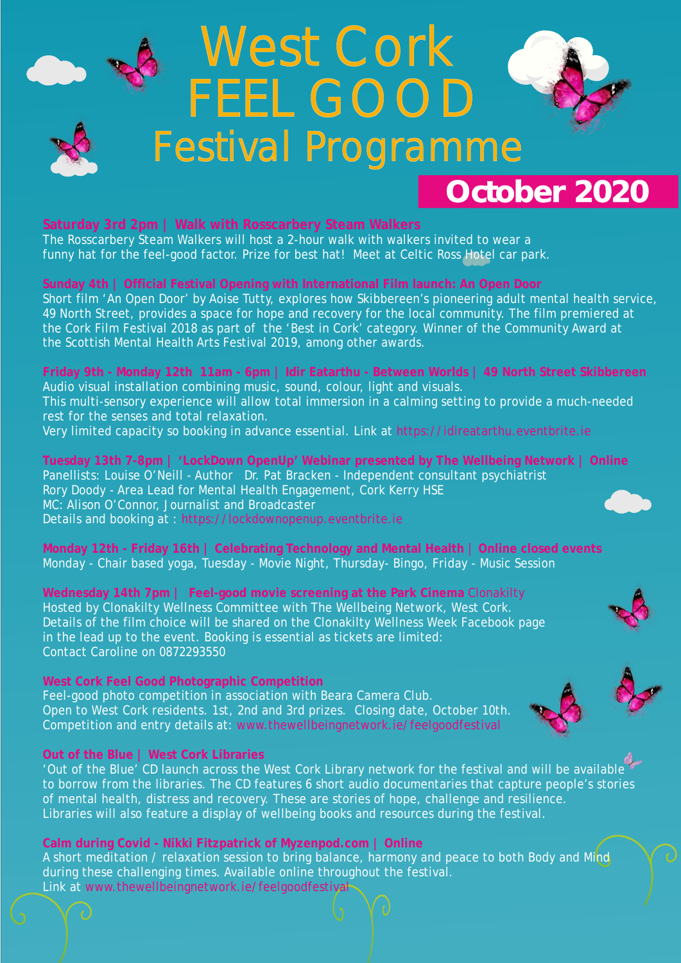## **Saturday 3rd 2pm | Walk with Rosscarbery Steam Walkers**

### **Out of the Blue | West Cork Libraries**

The Rosscarbery Steam Walkers will host a 2-hour walk with walkers invited to wear a funny hat for the feel-good factor. Prize for best hat! Meet at Celtic Ross Hotel car park.

# **Friday 9th - Monday 12th 11am - 6pm | Idir Eatarthu - Between Worlds 49 North Street Skibbereen |** Audio visual installation combining music, sound, colour, light and visuals.

Short film 'An Open Door' by Aoise Tutty, explores how Skibbereen's pioneering adult mental health service, 49 North Street, provides a space for hope and recovery for the local community. The film premiered at the Cork Film Festival 2018 as part of the 'Best in Cork' category. Winner of the Community Award at the Scottish Mental Health Arts Festival 2019, among other awards.

**Monday 12th - Friday 16th | Celebrating Technology and Mental Health** | **Online closed events** Monday - Chair based yoga, Tuesday - Movie Night, Thursday- Bingo, Friday - Music Session

**Wednesday 14th 7pm | Feel-good movie screening at the Park Cinema**  Clonakilty Hosted by Clonakilty Wellness Committee with The Wellbeing Network, West Cork. Details of the film choice will be shared on the Clonakilty Wellness Week Facebook page in the lead up to the event. Booking is essential as tickets are limited: Contact Caroline on 0872293550

This multi-sensory experience will allow total immersion in a calming setting to provide a much-needed rest for the senses and total relaxation.

Panellists: Louise O'Neill - Author Dr. Pat Bracken - Independent consultant psychiatrist Rory Doody - Area Lead for Mental Health Engagement, Cork Kerry HSE MC: Alison O'Connor, Journalist and Broadcaster Details and booking at : https://lockdownopenup.eventbrite.ie **Tuesday 13th 7-8pm | 'LockDown OpenUp' Webinar presented by The Wellbeing Network | Online**

**West Cork Feel Good Photographic Competition**  Feel-good photo competition in association with Beara Camera Club. Open to West Cork residents. 1st, 2nd and 3rd prizes. Closing date, October 10th. Competition and entry details at: www.thewellbeingnetwork.ie/feelgoodfestival





Very limited capacity so booking in advance essential. Link at https://idireatarthu.eventbrite.ie

'Out of the Blue' CD launch across the West Cork Library network for the festival and will be available to borrow from the libraries. The CD features 6 short audio documentaries that capture people's stories of mental health, distress and recovery. These are stories of hope, challenge and resilience. Libraries will also feature a display of wellbeing books and resources during the festival.

## **Sunday 4th | Official Festival Opening with International Film launch: An Open Door**

A short meditation / relaxation session to bring balance, harmony and peace to both Body and Mind during these challenging times. Available online throughout the festival. Link at www.thewellbeingnetwork.ie/feelgoodfestival **Calm during Covid - Nikki Fitzpatrick of Myzenpod.com | Online**